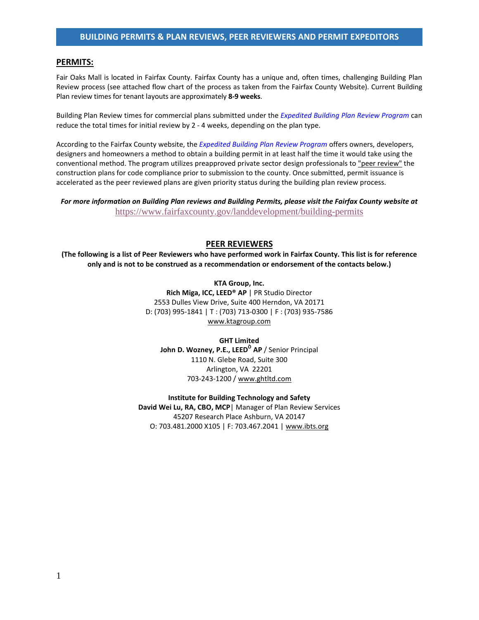## **PERMITS:**

Fair Oaks Mall is located in Fairfax County. Fairfax County has a unique and, often times, challenging Building Plan Review process (see attached flow chart of the process as taken from the Fairfax County Website). Current Building Plan review times for tenant layouts are approximately **8-9 weeks**.

Building Plan Review times for commercial plans submitted under the *[Expedited Building Plan Review Program](http://www.fairfaxcounty.gov/dpwes/epr/)* can reduce the total times for initial review by 2 - 4 weeks, depending on the plan type.

According to the Fairfax County website, the *Expedited Building Plan Review Program* offers owners, developers, designers and homeowners a method to obtain a building permit in at least half the time it would take using the conventional method. The program utilizes preapproved private sector design professionals to "peer review" the construction plans for code compliance prior to submission to the county. Once submitted, permit issuance is accelerated as the peer reviewed plans are given priority status during the building plan review process.

*For more information on Building Plan reviews and Building Permits, please visit the Fairfax County website at*  <https://www.fairfaxcounty.gov/landdevelopment/building-permits>

## **PEER REVIEWERS**

**(The following is a list of Peer Reviewers who have performed work in Fairfax County. This list is for reference only and is not to be construed as a recommendation or endorsement of the contacts below.)**

> **KTA Group, Inc. Rich Miga, ICC, LEED® AP** | PR Studio Director 2553 Dulles View Drive, Suite 400 Herndon, VA 20171 D: (703) 995-1841 | T : (703) 713-0300 | F : (703) 935-7586 [www.ktagroup.com](http://www.ktagroup.com/)

**GHT Limited John D. Wozney, P.E., LEED<sup>O</sup> AP** / Senior Principal 1110 N. Glebe Road, Suite 300 Arlington, VA 22201 703-243-1200 [/ www.ghtltd.com](http://www.ghtltd.com/)

**Institute for Building Technology and Safety** David Wei Lu, RA, CBO, MCP<sup>|</sup> Manager of Plan Review Services 45207 Research Place Ashburn, VA 20147 O: 703.481.2000 X105 | F: 703.467.2041 | [www.ibts.org](http://www.ibts.org/)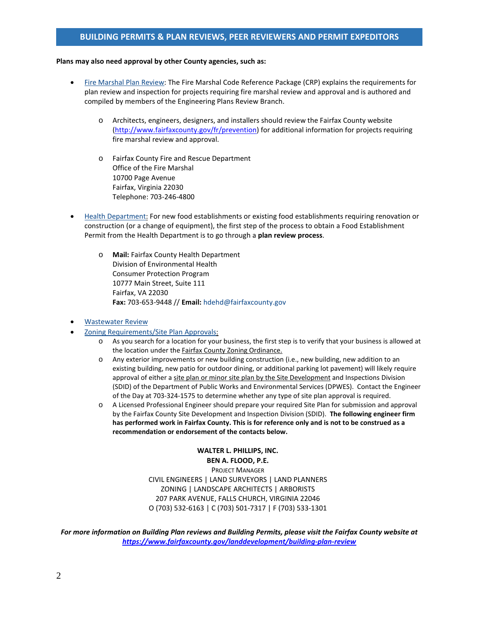# **BUILDING PERMITS & PLAN REVIEWS, PEER REVIEWERS AND PERMIT EXPEDITORS**

#### **Plans may also need approval by other County agencies, such as:**

- [Fire Marshal Plan Review:](http://www.fairfaxcounty.gov/fr/prevention/%23plans) The Fire Marshal Code Reference Package (CRP) explains the requirements for plan review and inspection for projects requiring fire marshal review and approval and is authored and compiled by members of the Engineering Plans Review Branch.
	- o Architects, engineers, designers, and installers should review the Fairfax County website [\(http://www.fairfaxcounty.gov/fr/prevention\)](http://www.fairfaxcounty.gov/fr/prevention) for additional information for projects requiring fire marshal review and approval.
	- o Fairfax County Fire and Rescue Department Office of the Fire Marshal 10700 Page Avenue Fairfax, Virginia 22030 Telephone: 703-246-4800
- [Health Department:](http://www.fairfaxcounty.gov/hd/eh/) For new food establishments or existing food establishments requiring renovation or construction (or a change of equipment), the first step of the process to obtain a Food Establishment Permit from the Health Department is to go through a **plan review process**.
	- o **Mail:** Fairfax County Health Department Division of Environmental Health Consumer Protection Program 10777 Main Street, Suite 111 Fairfax, VA 22030 **Fax:** 703-653-9448 // **Email:** [hdehd@fairfaxcounty.gov](mailto:hdehd@fairfaxcounty.gov)
- [Wastewater Review](http://www.fairfaxcounty.gov/dpwes/wastewater/wastewater_reviews.htm)
- [Zoning Requirements/](http://www.fairfaxcounty.gov/dpz/zoning/)Site Plan Approvals:
	- o As you search for a location for your business, the first step is to verify that your business is allowed at the location under the Fairfax County Zoning Ordinance.
	- o Any exterior improvements or new building construction (i.e., new building, new addition to an existing building, new patio for outdoor dining, or additional parking lot pavement) will likely require approval of either a site plan or minor site plan by the Site Development and Inspections Division (SDID) of the Department of Public Works and Environmental Services (DPWES). Contact the Engineer of the Day at 703-324-1575 to determine whether any type of site plan approval is required.
	- o A Licensed Professional Engineer should prepare your required Site Plan for submission and approval by the Fairfax County Site Development and Inspection Division (SDID). **The following engineer firm has performed work in Fairfax County. This is for reference only and is not to be construed as a recommendation or endorsement of the contacts below.**

**WALTER L. PHILLIPS, INC. BEN A. FLOOD, P.E.** PROJECT MANAGER CIVIL ENGINEERS | LAND SURVEYORS | LAND PLANNERS ZONING | LANDSCAPE ARCHITECTS | ARBORISTS 207 PARK AVENUE, FALLS CHURCH, VIRGINIA 22046 O (703) 532-6163 | C (703) 501-7317 | F (703) 533-1301

*For more information on Building Plan reviews and Building Permits, please visit the Fairfax County website at <https://www.fairfaxcounty.gov/landdevelopment/building-plan-review>*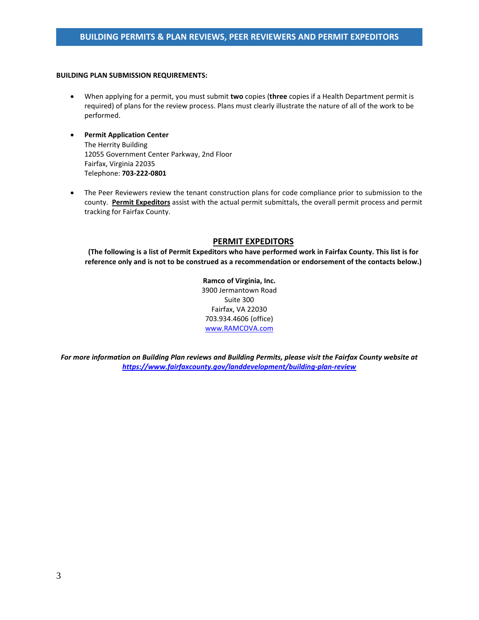### **BUILDING PLAN SUBMISSION REQUIREMENTS:**

- When applying for a permit, you must submit **two** copies (**three** copies if a Health Department permit is required) of plans for the review process. Plans must clearly illustrate the nature of all of the work to be performed.
- **Permit Application Center** The Herrity Building 12055 Government Center Parkway, 2nd Floor Fairfax, Virginia 22035 Telephone: **703-222-0801**
- The Peer Reviewers review the tenant construction plans for code compliance prior to submission to the county. **Permit Expeditors** assist with the actual permit submittals, the overall permit process and permit tracking for Fairfax County.

## **PERMIT EXPEDITORS**

**(The following is a list of Permit Expeditors who have performed work in Fairfax County. This list is for reference only and is not to be construed as a recommendation or endorsement of the contacts below.)**

> **Ramco of Virginia, Inc.** 3900 Jermantown Road Suite 300 Fairfax, VA 22030 703.934.4606 (office) [www.RAMCOVA.com](http://www.ramcova.com/)

*For more information on Building Plan reviews and Building Permits, please visit the Fairfax County website at <https://www.fairfaxcounty.gov/landdevelopment/building-plan-review>*